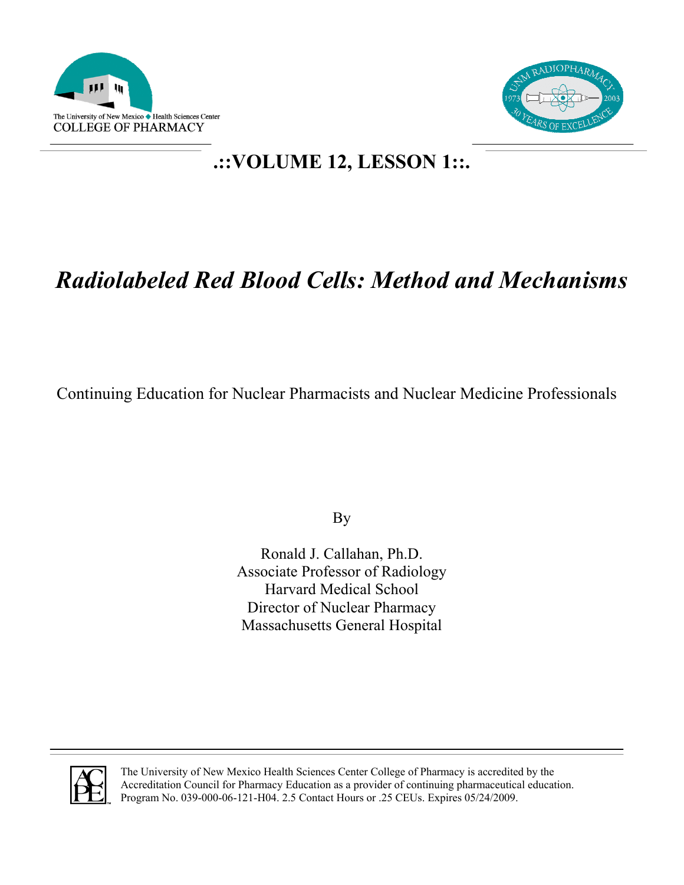



# **.::VOLUME 12, LESSON 1::.**

# *Radiolabeled Red Blood Cells: Method and Mechanisms*

Continuing Education for Nuclear Pharmacists and Nuclear Medicine Professionals

By

Ronald J. Callahan, Ph.D. Associate Professor of Radiology Harvard Medical School Director of Nuclear Pharmacy Massachusetts General Hospital



The University of New Mexico Health Sciences Center College of Pharmacy is accredited by the Accreditation Council for Pharmacy Education as a provider of continuing pharmaceutical education. Program No. 039-000-06-121-H04. 2.5 Contact Hours or .25 CEUs. Expires 05/24/2009.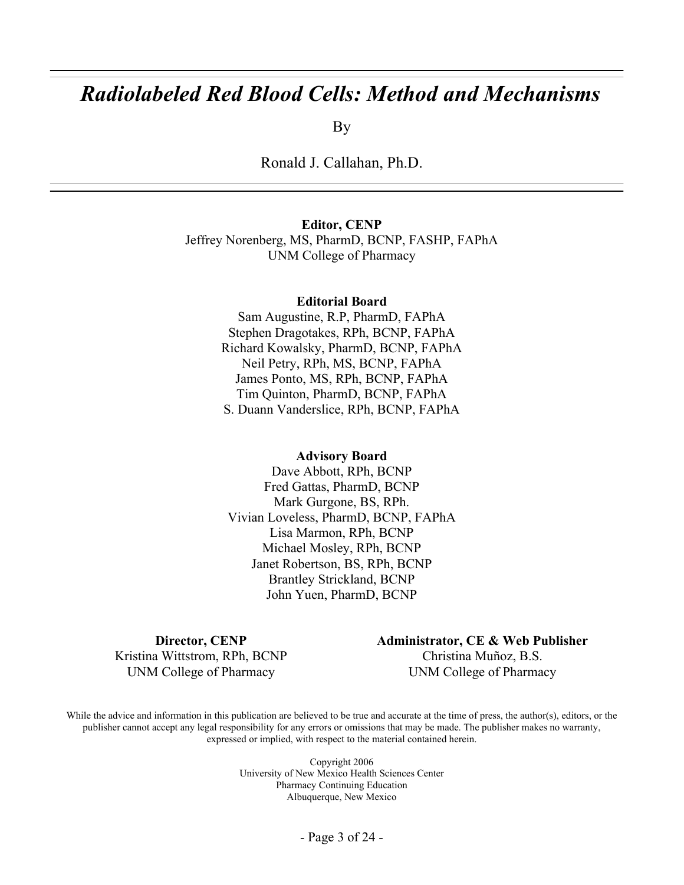# *Radiolabeled Red Blood Cells: Method and Mechanisms*

By

Ronald J. Callahan, Ph.D.

**Editor, CENP** 

Jeffrey Norenberg, MS, PharmD, BCNP, FASHP, FAPhA UNM College of Pharmacy

#### **Editorial Board**

Sam Augustine, R.P, PharmD, FAPhA Stephen Dragotakes, RPh, BCNP, FAPhA Richard Kowalsky, PharmD, BCNP, FAPhA Neil Petry, RPh, MS, BCNP, FAPhA James Ponto, MS, RPh, BCNP, FAPhA Tim Quinton, PharmD, BCNP, FAPhA S. Duann Vanderslice, RPh, BCNP, FAPhA

#### **Advisory Board**

Dave Abbott, RPh, BCNP Fred Gattas, PharmD, BCNP Mark Gurgone, BS, RPh. Vivian Loveless, PharmD, BCNP, FAPhA Lisa Marmon, RPh, BCNP Michael Mosley, RPh, BCNP Janet Robertson, BS, RPh, BCNP Brantley Strickland, BCNP John Yuen, PharmD, BCNP

**Director, CENP**  Kristina Wittstrom, RPh, BCNP UNM College of Pharmacy

**Administrator, CE & Web Publisher**  Christina Muñoz, B.S. UNM College of Pharmacy

While the advice and information in this publication are believed to be true and accurate at the time of press, the author(s), editors, or the publisher cannot accept any legal responsibility for any errors or omissions that may be made. The publisher makes no warranty, expressed or implied, with respect to the material contained herein.

> Copyright 2006 University of New Mexico Health Sciences Center Pharmacy Continuing Education Albuquerque, New Mexico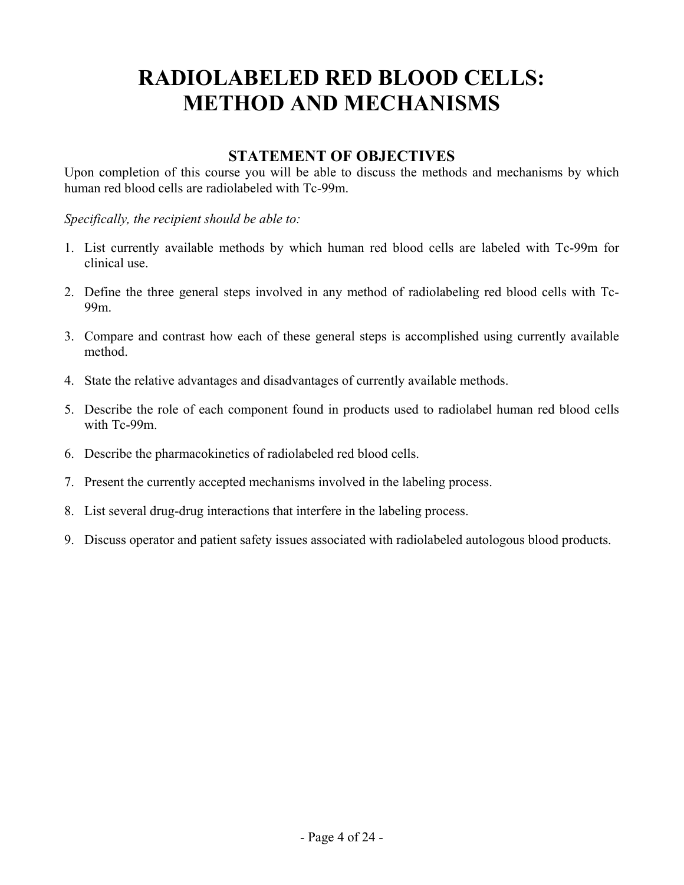# **RADIOLABELED RED BLOOD CELLS: METHOD AND MECHANISMS**

# **STATEMENT OF OBJECTIVES**

Upon completion of this course you will be able to discuss the methods and mechanisms by which human red blood cells are radiolabeled with Tc-99m.

*Specifically, the recipient should be able to:* 

- 1. List currently available methods by which human red blood cells are labeled with Tc-99m for clinical use.
- 2. Define the three general steps involved in any method of radiolabeling red blood cells with Tc-99m.
- 3. Compare and contrast how each of these general steps is accomplished using currently available method.
- 4. State the relative advantages and disadvantages of currently available methods.
- 5. Describe the role of each component found in products used to radiolabel human red blood cells with Tc-99m.
- 6. Describe the pharmacokinetics of radiolabeled red blood cells.
- 7. Present the currently accepted mechanisms involved in the labeling process.
- 8. List several drug-drug interactions that interfere in the labeling process.
- 9. Discuss operator and patient safety issues associated with radiolabeled autologous blood products.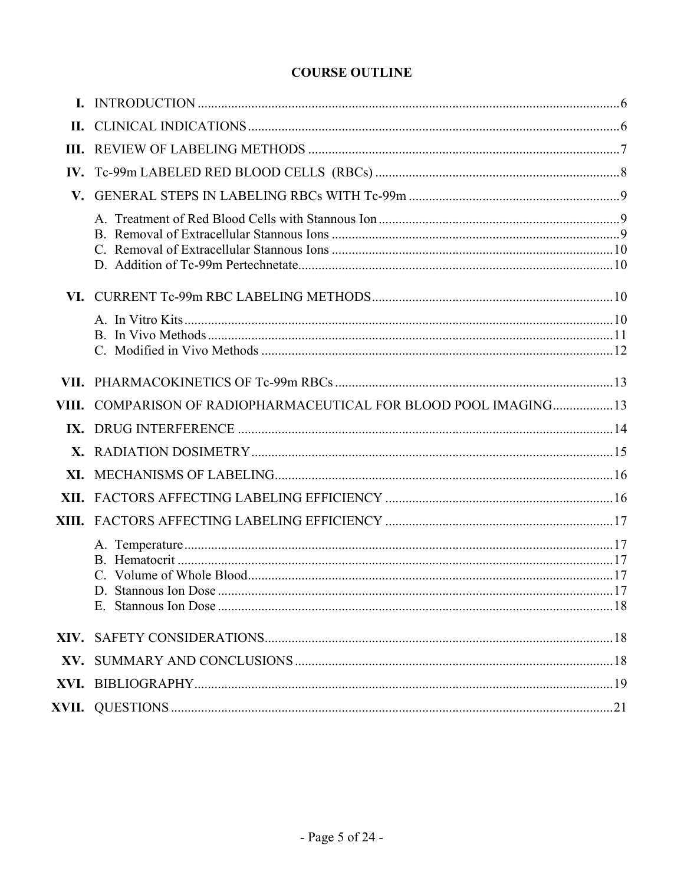# **COURSE OUTLINE**

<span id="page-4-0"></span>

| VIII. COMPARISON OF RADIOPHARMACEUTICAL FOR BLOOD POOL IMAGING13 |  |
|------------------------------------------------------------------|--|
|                                                                  |  |
|                                                                  |  |
|                                                                  |  |
|                                                                  |  |
|                                                                  |  |
|                                                                  |  |
|                                                                  |  |
|                                                                  |  |
| D. Stannous Ion Dose                                             |  |
|                                                                  |  |
|                                                                  |  |
|                                                                  |  |
|                                                                  |  |
|                                                                  |  |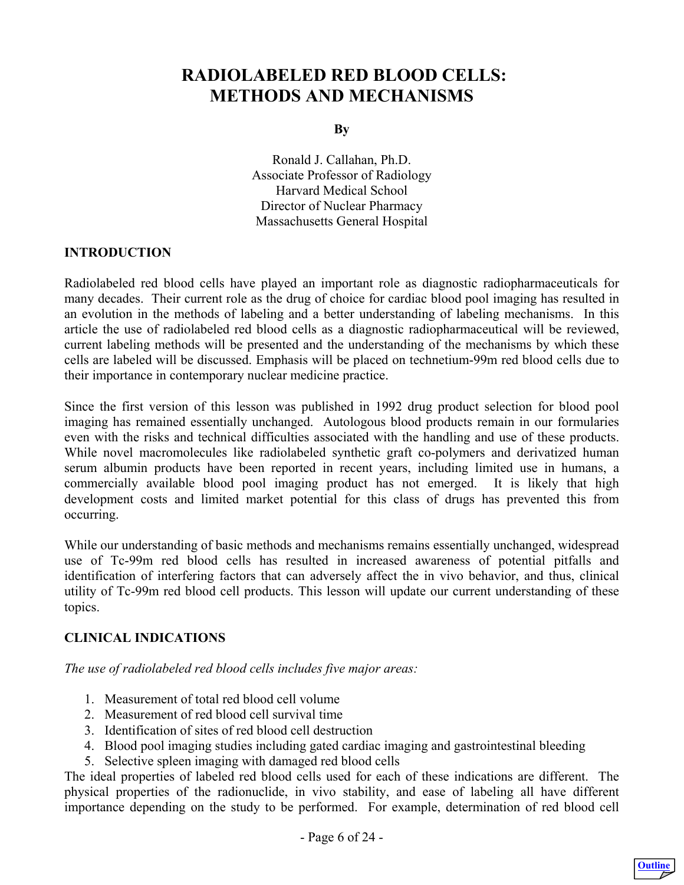# <span id="page-5-0"></span> **RADIOLABELED RED BLOOD CELLS: METHODS AND MECHANISMS**

**By** 

Ronald J. Callahan, Ph.D. Associate Professor of Radiology Harvard Medical School Director of Nuclear Pharmacy Massachusetts General Hospital

#### **INTRODUCTION**

Radiolabeled red blood cells have played an important role as diagnostic radiopharmaceuticals for many decades. Their current role as the drug of choice for cardiac blood pool imaging has resulted in an evolution in the methods of labeling and a better understanding of labeling mechanisms. In this article the use of radiolabeled red blood cells as a diagnostic radiopharmaceutical will be reviewed, current labeling methods will be presented and the understanding of the mechanisms by which these cells are labeled will be discussed. Emphasis will be placed on technetium-99m red blood cells due to their importance in contemporary nuclear medicine practice.

Since the first version of this lesson was published in 1992 drug product selection for blood pool imaging has remained essentially unchanged. Autologous blood products remain in our formularies even with the risks and technical difficulties associated with the handling and use of these products. While novel macromolecules like radiolabeled synthetic graft co-polymers and derivatized human serum albumin products have been reported in recent years, including limited use in humans, a commercially available blood pool imaging product has not emerged. It is likely that high development costs and limited market potential for this class of drugs has prevented this from occurring.

While our understanding of basic methods and mechanisms remains essentially unchanged, widespread use of Tc-99m red blood cells has resulted in increased awareness of potential pitfalls and identification of interfering factors that can adversely affect the in vivo behavior, and thus, clinical utility of Tc-99m red blood cell products. This lesson will update our current understanding of these topics.

# **CLINICAL INDICATIONS**

*The use of radiolabeled red blood cells includes five major areas:*

- 1. Measurement of total red blood cell volume
- 2. Measurement of red blood cell survival time
- 3. Identification of sites of red blood cell destruction
- 4. Blood pool imaging studies including gated cardiac imaging and gastrointestinal bleeding
- 5. Selective spleen imaging with damaged red blood cells

The ideal properties of labeled red blood cells used for each of these indications are different. The physical properties of the radionuclide, in vivo stability, and ease of labeling all have different importance depending on the study to be performed. For example, determination of red blood cell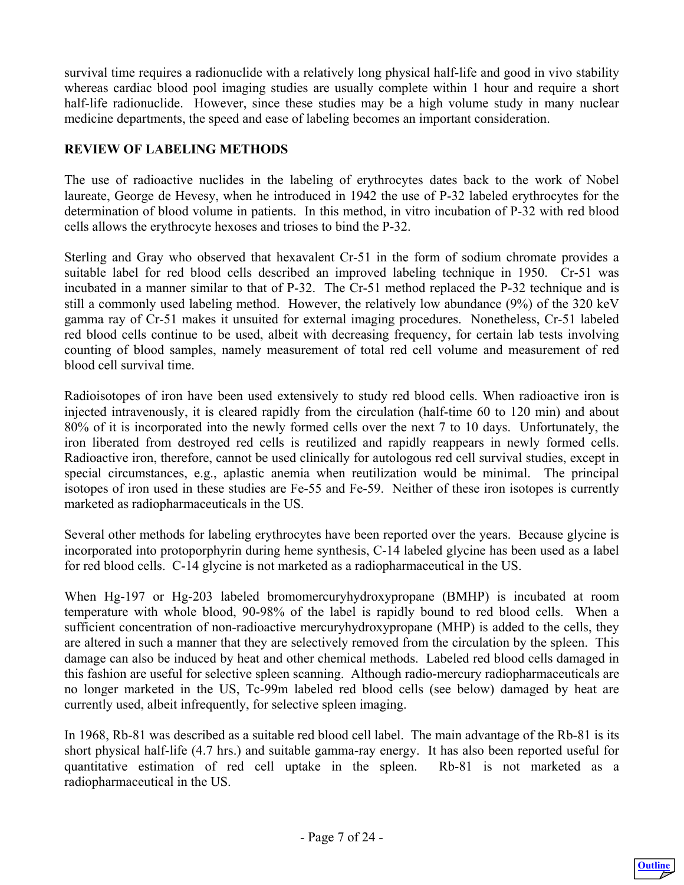<span id="page-6-0"></span>survival time requires a radionuclide with a relatively long physical half-life and good in vivo stability whereas cardiac blood pool imaging studies are usually complete within 1 hour and require a short half-life radionuclide. However, since these studies may be a high volume study in many nuclear medicine departments, the speed and ease of labeling becomes an important consideration.

# **REVIEW OF LABELING METHODS**

The use of radioactive nuclides in the labeling of erythrocytes dates back to the work of Nobel laureate, George de Hevesy, when he introduced in 1942 the use of P-32 labeled erythrocytes for the determination of blood volume in patients. In this method, in vitro incubation of P-32 with red blood cells allows the erythrocyte hexoses and trioses to bind the P-32.

Sterling and Gray who observed that hexavalent Cr-51 in the form of sodium chromate provides a suitable label for red blood cells described an improved labeling technique in 1950. Cr-51 was incubated in a manner similar to that of P-32. The Cr-51 method replaced the P-32 technique and is still a commonly used labeling method. However, the relatively low abundance (9%) of the 320 keV gamma ray of Cr-51 makes it unsuited for external imaging procedures. Nonetheless, Cr-51 labeled red blood cells continue to be used, albeit with decreasing frequency, for certain lab tests involving counting of blood samples, namely measurement of total red cell volume and measurement of red blood cell survival time.

Radioisotopes of iron have been used extensively to study red blood cells. When radioactive iron is injected intravenously, it is cleared rapidly from the circulation (half-time 60 to 120 min) and about 80% of it is incorporated into the newly formed cells over the next 7 to 10 days. Unfortunately, the iron liberated from destroyed red cells is reutilized and rapidly reappears in newly formed cells. Radioactive iron, therefore, cannot be used clinically for autologous red cell survival studies, except in special circumstances, e.g., aplastic anemia when reutilization would be minimal. The principal isotopes of iron used in these studies are Fe-55 and Fe-59. Neither of these iron isotopes is currently marketed as radiopharmaceuticals in the US.

Several other methods for labeling erythrocytes have been reported over the years. Because glycine is incorporated into protoporphyrin during heme synthesis, C-14 labeled glycine has been used as a label for red blood cells. C-14 glycine is not marketed as a radiopharmaceutical in the US.

When Hg-197 or Hg-203 labeled bromomercuryhydroxypropane (BMHP) is incubated at room temperature with whole blood, 90-98% of the label is rapidly bound to red blood cells. When a sufficient concentration of non-radioactive mercuryhydroxypropane (MHP) is added to the cells, they are altered in such a manner that they are selectively removed from the circulation by the spleen. This damage can also be induced by heat and other chemical methods. Labeled red blood cells damaged in this fashion are useful for selective spleen scanning. Although radio-mercury radiopharmaceuticals are no longer marketed in the US, Tc-99m labeled red blood cells (see below) damaged by heat are currently used, albeit infrequently, for selective spleen imaging.

In 1968, Rb-81 was described as a suitable red blood cell label. The main advantage of the Rb-81 is its short physical half-life (4.7 hrs.) and suitable gamma-ray energy. It has also been reported useful for quantitative estimation of red cell uptake in the spleen. Rb-81 is not marketed as a radiopharmaceutical in the US.

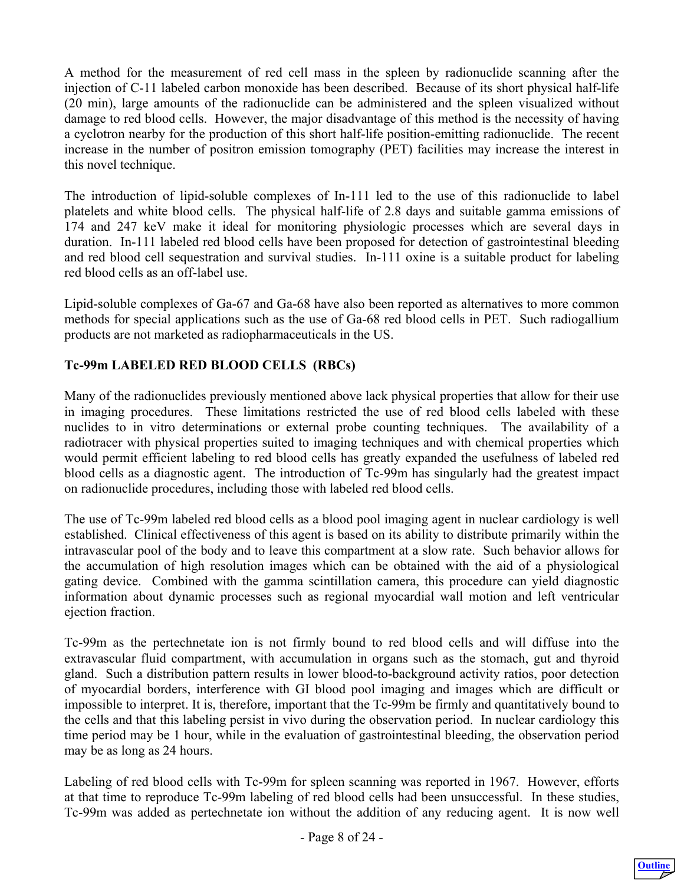<span id="page-7-0"></span>A method for the measurement of red cell mass in the spleen by radionuclide scanning after the injection of C-11 labeled carbon monoxide has been described. Because of its short physical half-life (20 min), large amounts of the radionuclide can be administered and the spleen visualized without damage to red blood cells. However, the major disadvantage of this method is the necessity of having a cyclotron nearby for the production of this short half-life position-emitting radionuclide. The recent increase in the number of positron emission tomography (PET) facilities may increase the interest in this novel technique.

The introduction of lipid-soluble complexes of In-111 led to the use of this radionuclide to label platelets and white blood cells. The physical half-life of 2.8 days and suitable gamma emissions of 174 and 247 keV make it ideal for monitoring physiologic processes which are several days in duration. In-111 labeled red blood cells have been proposed for detection of gastrointestinal bleeding and red blood cell sequestration and survival studies. In-111 oxine is a suitable product for labeling red blood cells as an off-label use.

Lipid-soluble complexes of Ga-67 and Ga-68 have also been reported as alternatives to more common methods for special applications such as the use of Ga-68 red blood cells in PET. Such radiogallium products are not marketed as radiopharmaceuticals in the US.

# **Tc-99m LABELED RED BLOOD CELLS (RBCs)**

Many of the radionuclides previously mentioned above lack physical properties that allow for their use in imaging procedures. These limitations restricted the use of red blood cells labeled with these nuclides to in vitro determinations or external probe counting techniques. The availability of a radiotracer with physical properties suited to imaging techniques and with chemical properties which would permit efficient labeling to red blood cells has greatly expanded the usefulness of labeled red blood cells as a diagnostic agent. The introduction of Tc-99m has singularly had the greatest impact on radionuclide procedures, including those with labeled red blood cells.

The use of Tc-99m labeled red blood cells as a blood pool imaging agent in nuclear cardiology is well established. Clinical effectiveness of this agent is based on its ability to distribute primarily within the intravascular pool of the body and to leave this compartment at a slow rate. Such behavior allows for the accumulation of high resolution images which can be obtained with the aid of a physiological gating device. Combined with the gamma scintillation camera, this procedure can yield diagnostic information about dynamic processes such as regional myocardial wall motion and left ventricular ejection fraction.

Tc-99m as the pertechnetate ion is not firmly bound to red blood cells and will diffuse into the extravascular fluid compartment, with accumulation in organs such as the stomach, gut and thyroid gland. Such a distribution pattern results in lower blood-to-background activity ratios, poor detection of myocardial borders, interference with GI blood pool imaging and images which are difficult or impossible to interpret. It is, therefore, important that the Tc-99m be firmly and quantitatively bound to the cells and that this labeling persist in vivo during the observation period. In nuclear cardiology this time period may be 1 hour, while in the evaluation of gastrointestinal bleeding, the observation period may be as long as 24 hours.

Labeling of red blood cells with Tc-99m for spleen scanning was reported in 1967. However, efforts at that time to reproduce Tc-99m labeling of red blood cells had been unsuccessful. In these studies, Tc-99m was added as pertechnetate ion without the addition of any reducing agent. It is now well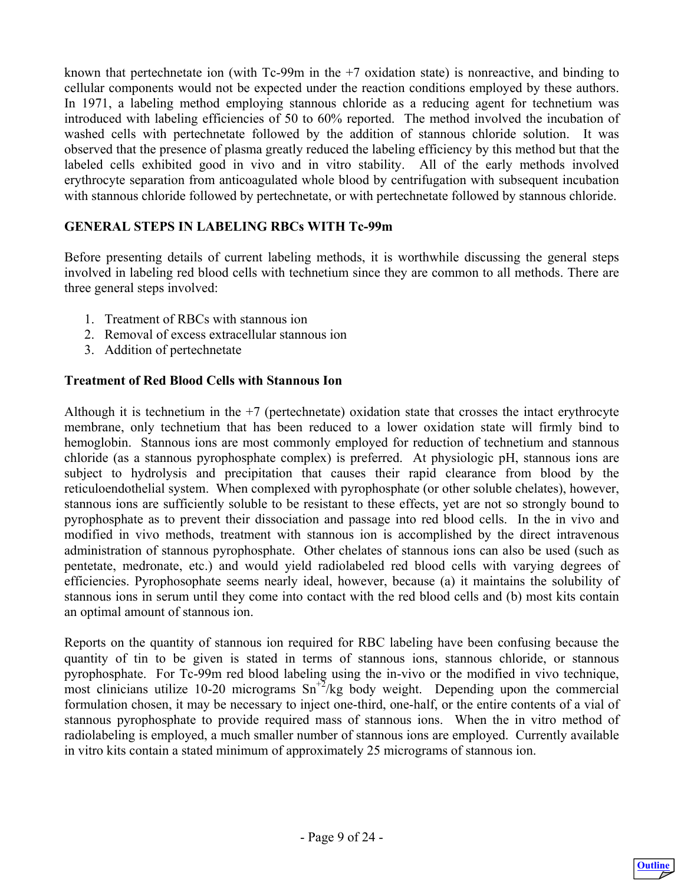<span id="page-8-0"></span>known that pertechnetate ion (with  $Tc-99m$  in the  $+7$  oxidation state) is nonreactive, and binding to cellular components would not be expected under the reaction conditions employed by these authors. In 1971, a labeling method employing stannous chloride as a reducing agent for technetium was introduced with labeling efficiencies of 50 to 60% reported. The method involved the incubation of washed cells with pertechnetate followed by the addition of stannous chloride solution. It was observed that the presence of plasma greatly reduced the labeling efficiency by this method but that the labeled cells exhibited good in vivo and in vitro stability. All of the early methods involved erythrocyte separation from anticoagulated whole blood by centrifugation with subsequent incubation with stannous chloride followed by pertechnetate, or with pertechnetate followed by stannous chloride.

#### **GENERAL STEPS IN LABELING RBCs WITH Tc-99m**

Before presenting details of current labeling methods, it is worthwhile discussing the general steps involved in labeling red blood cells with technetium since they are common to all methods. There are three general steps involved:

- 1. Treatment of RBCs with stannous ion
- 2. Removal of excess extracellular stannous ion
- 3. Addition of pertechnetate

#### **Treatment of Red Blood Cells with Stannous Ion**

Although it is technetium in the  $+7$  (pertechnetate) oxidation state that crosses the intact erythrocyte membrane, only technetium that has been reduced to a lower oxidation state will firmly bind to hemoglobin. Stannous ions are most commonly employed for reduction of technetium and stannous chloride (as a stannous pyrophosphate complex) is preferred. At physiologic pH, stannous ions are subject to hydrolysis and precipitation that causes their rapid clearance from blood by the reticuloendothelial system. When complexed with pyrophosphate (or other soluble chelates), however, stannous ions are sufficiently soluble to be resistant to these effects, yet are not so strongly bound to pyrophosphate as to prevent their dissociation and passage into red blood cells. In the in vivo and modified in vivo methods, treatment with stannous ion is accomplished by the direct intravenous administration of stannous pyrophosphate. Other chelates of stannous ions can also be used (such as pentetate, medronate, etc.) and would yield radiolabeled red blood cells with varying degrees of efficiencies. Pyrophosophate seems nearly ideal, however, because (a) it maintains the solubility of stannous ions in serum until they come into contact with the red blood cells and (b) most kits contain an optimal amount of stannous ion.

Reports on the quantity of stannous ion required for RBC labeling have been confusing because the quantity of tin to be given is stated in terms of stannous ions, stannous chloride, or stannous pyrophosphate. For Tc-99m red blood labeling using the in-vivo or the modified in vivo technique, most clinicians utilize 10-20 micrograms  $\text{Sn}^{+2}/\text{kg}$  body weight. Depending upon the commercial formulation chosen, it may be necessary to inject one-third, one-half, or the entire contents of a vial of stannous pyrophosphate to provide required mass of stannous ions. When the in vitro method of radiolabeling is employed, a much smaller number of stannous ions are employed. Currently available in vitro kits contain a stated minimum of approximately 25 micrograms of stannous ion.

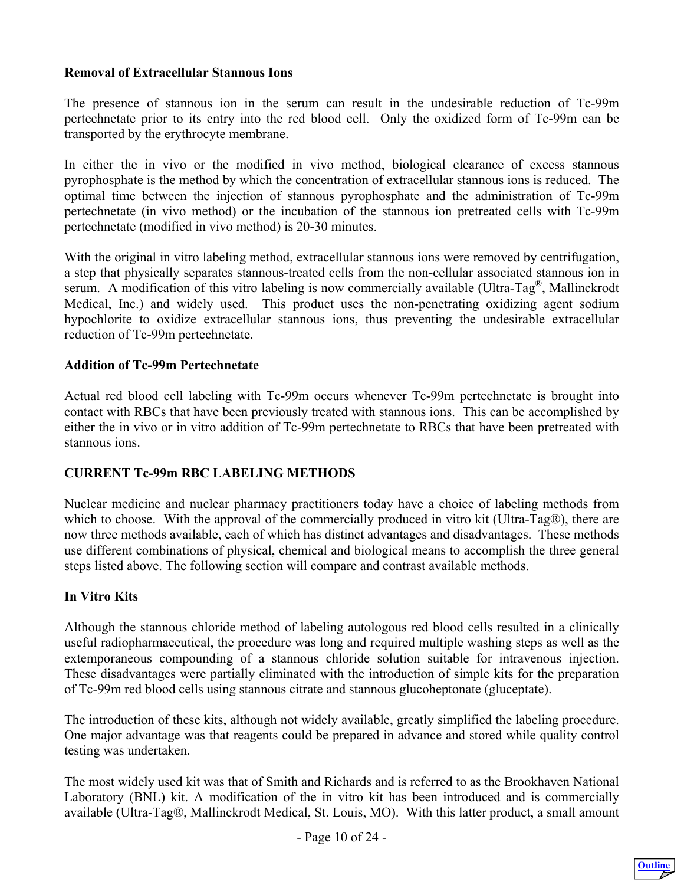#### <span id="page-9-0"></span>**Removal of Extracellular Stannous Ions**

The presence of stannous ion in the serum can result in the undesirable reduction of Tc-99m pertechnetate prior to its entry into the red blood cell. Only the oxidized form of Tc-99m can be transported by the erythrocyte membrane.

In either the in vivo or the modified in vivo method, biological clearance of excess stannous pyrophosphate is the method by which the concentration of extracellular stannous ions is reduced. The optimal time between the injection of stannous pyrophosphate and the administration of Tc-99m pertechnetate (in vivo method) or the incubation of the stannous ion pretreated cells with Tc-99m pertechnetate (modified in vivo method) is 20-30 minutes.

With the original in vitro labeling method, extracellular stannous ions were removed by centrifugation, a step that physically separates stannous-treated cells from the non-cellular associated stannous ion in serum. A modification of this vitro labeling is now commercially available (Ultra-Tag<sup>®</sup>, Mallinckrodt Medical, Inc.) and widely used. This product uses the non-penetrating oxidizing agent sodium hypochlorite to oxidize extracellular stannous ions, thus preventing the undesirable extracellular reduction of Tc-99m pertechnetate.

#### **Addition of Tc-99m Pertechnetate**

Actual red blood cell labeling with Tc-99m occurs whenever Tc-99m pertechnetate is brought into contact with RBCs that have been previously treated with stannous ions. This can be accomplished by either the in vivo or in vitro addition of Tc-99m pertechnetate to RBCs that have been pretreated with stannous ions.

#### **CURRENT Tc-99m RBC LABELING METHODS**

Nuclear medicine and nuclear pharmacy practitioners today have a choice of labeling methods from which to choose. With the approval of the commercially produced in vitro kit (Ultra-Tag®), there are now three methods available, each of which has distinct advantages and disadvantages. These methods use different combinations of physical, chemical and biological means to accomplish the three general steps listed above. The following section will compare and contrast available methods.

#### **In Vitro Kits**

Although the stannous chloride method of labeling autologous red blood cells resulted in a clinically useful radiopharmaceutical, the procedure was long and required multiple washing steps as well as the extemporaneous compounding of a stannous chloride solution suitable for intravenous injection. These disadvantages were partially eliminated with the introduction of simple kits for the preparation of Tc-99m red blood cells using stannous citrate and stannous glucoheptonate (gluceptate).

The introduction of these kits, although not widely available, greatly simplified the labeling procedure. One major advantage was that reagents could be prepared in advance and stored while quality control testing was undertaken.

The most widely used kit was that of Smith and Richards and is referred to as the Brookhaven National Laboratory (BNL) kit. A modification of the in vitro kit has been introduced and is commercially available (Ultra-Tag®, Mallinckrodt Medical, St. Louis, MO). With this latter product, a small amount

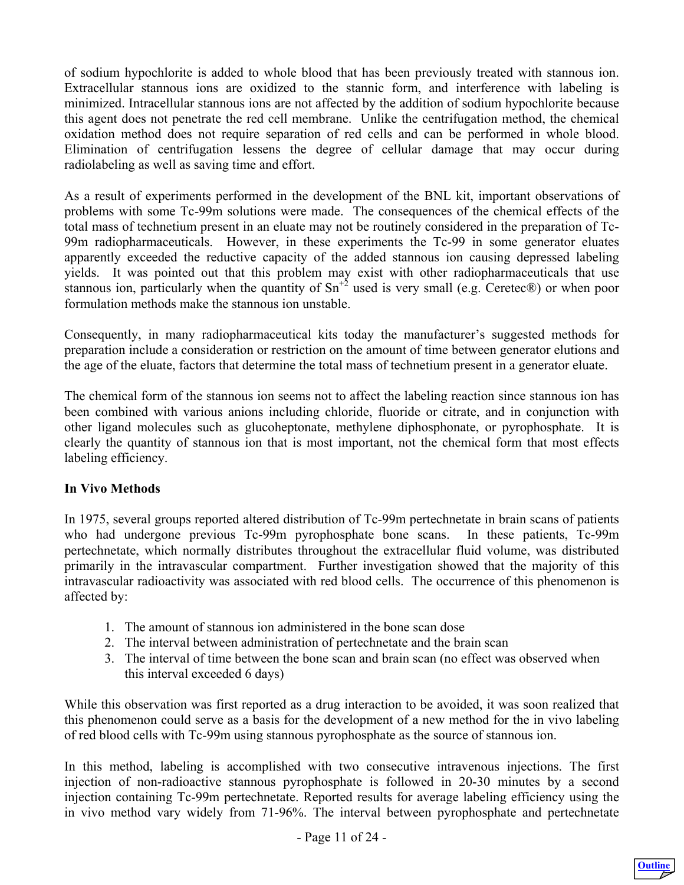<span id="page-10-0"></span>of sodium hypochlorite is added to whole blood that has been previously treated with stannous ion. Extracellular stannous ions are oxidized to the stannic form, and interference with labeling is minimized. Intracellular stannous ions are not affected by the addition of sodium hypochlorite because this agent does not penetrate the red cell membrane. Unlike the centrifugation method, the chemical oxidation method does not require separation of red cells and can be performed in whole blood. Elimination of centrifugation lessens the degree of cellular damage that may occur during radiolabeling as well as saving time and effort.

As a result of experiments performed in the development of the BNL kit, important observations of problems with some Tc-99m solutions were made. The consequences of the chemical effects of the total mass of technetium present in an eluate may not be routinely considered in the preparation of Tc-99m radiopharmaceuticals. However, in these experiments the Tc-99 in some generator eluates apparently exceeded the reductive capacity of the added stannous ion causing depressed labeling yields. It was pointed out that this problem may exist with other radiopharmaceuticals that use stannous ion, particularly when the quantity of  $Sn^{2}$  used is very small (e.g. Ceretec®) or when poor formulation methods make the stannous ion unstable.

Consequently, in many radiopharmaceutical kits today the manufacturer's suggested methods for preparation include a consideration or restriction on the amount of time between generator elutions and the age of the eluate, factors that determine the total mass of technetium present in a generator eluate.

The chemical form of the stannous ion seems not to affect the labeling reaction since stannous ion has been combined with various anions including chloride, fluoride or citrate, and in conjunction with other ligand molecules such as glucoheptonate, methylene diphosphonate, or pyrophosphate. It is clearly the quantity of stannous ion that is most important, not the chemical form that most effects labeling efficiency.

# **In Vivo Methods**

In 1975, several groups reported altered distribution of Tc-99m pertechnetate in brain scans of patients who had undergone previous Tc-99m pyrophosphate bone scans. In these patients, Tc-99m pertechnetate, which normally distributes throughout the extracellular fluid volume, was distributed primarily in the intravascular compartment. Further investigation showed that the majority of this intravascular radioactivity was associated with red blood cells. The occurrence of this phenomenon is affected by:

- 1. The amount of stannous ion administered in the bone scan dose
- 2. The interval between administration of pertechnetate and the brain scan
- 3. The interval of time between the bone scan and brain scan (no effect was observed when this interval exceeded 6 days)

While this observation was first reported as a drug interaction to be avoided, it was soon realized that this phenomenon could serve as a basis for the development of a new method for the in vivo labeling of red blood cells with Tc-99m using stannous pyrophosphate as the source of stannous ion.

In this method, labeling is accomplished with two consecutive intravenous injections. The first injection of non-radioactive stannous pyrophosphate is followed in 20-30 minutes by a second injection containing Tc-99m pertechnetate. Reported results for average labeling efficiency using the in vivo method vary widely from 71-96%. The interval between pyrophosphate and pertechnetate

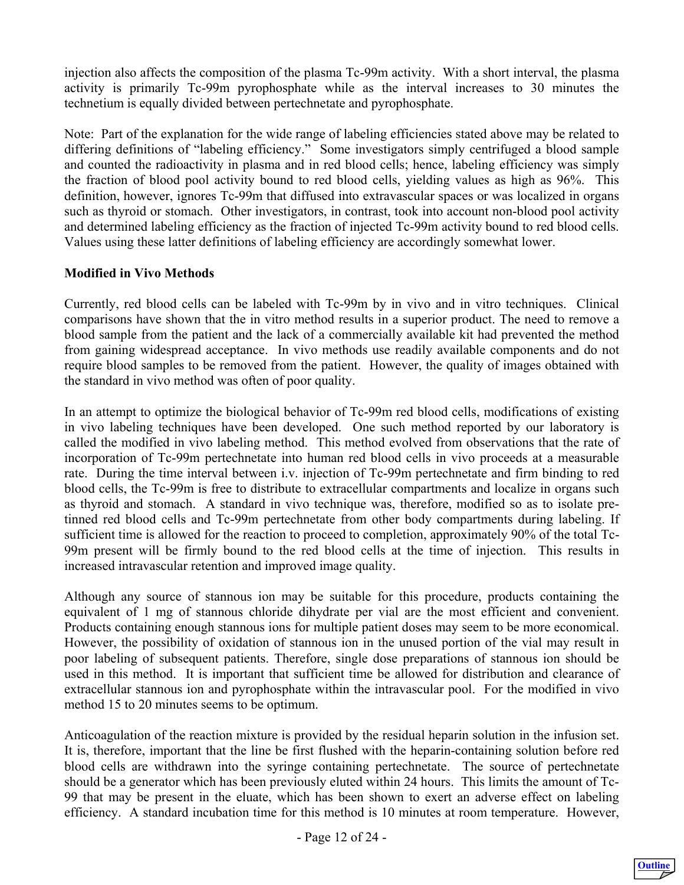<span id="page-11-0"></span>injection also affects the composition of the plasma Tc-99m activity. With a short interval, the plasma activity is primarily Tc-99m pyrophosphate while as the interval increases to 30 minutes the technetium is equally divided between pertechnetate and pyrophosphate.

Note: Part of the explanation for the wide range of labeling efficiencies stated above may be related to differing definitions of "labeling efficiency." Some investigators simply centrifuged a blood sample and counted the radioactivity in plasma and in red blood cells; hence, labeling efficiency was simply the fraction of blood pool activity bound to red blood cells, yielding values as high as 96%. This definition, however, ignores Tc-99m that diffused into extravascular spaces or was localized in organs such as thyroid or stomach. Other investigators, in contrast, took into account non-blood pool activity and determined labeling efficiency as the fraction of injected Tc-99m activity bound to red blood cells. Values using these latter definitions of labeling efficiency are accordingly somewhat lower.

# **Modified in Vivo Methods**

Currently, red blood cells can be labeled with Tc-99m by in vivo and in vitro techniques. Clinical comparisons have shown that the in vitro method results in a superior product. The need to remove a blood sample from the patient and the lack of a commercially available kit had prevented the method from gaining widespread acceptance. In vivo methods use readily available components and do not require blood samples to be removed from the patient. However, the quality of images obtained with the standard in vivo method was often of poor quality.

In an attempt to optimize the biological behavior of Tc-99m red blood cells, modifications of existing in vivo labeling techniques have been developed. One such method reported by our laboratory is called the modified in vivo labeling method. This method evolved from observations that the rate of incorporation of Tc-99m pertechnetate into human red blood cells in vivo proceeds at a measurable rate. During the time interval between i.v. injection of Tc-99m pertechnetate and firm binding to red blood cells, the Tc-99m is free to distribute to extracellular compartments and localize in organs such as thyroid and stomach. A standard in vivo technique was, therefore, modified so as to isolate pretinned red blood cells and Tc-99m pertechnetate from other body compartments during labeling. If sufficient time is allowed for the reaction to proceed to completion, approximately 90% of the total Tc-99m present will be firmly bound to the red blood cells at the time of injection. This results in increased intravascular retention and improved image quality.

Although any source of stannous ion may be suitable for this procedure, products containing the equivalent of 1 mg of stannous chloride dihydrate per vial are the most efficient and convenient. Products containing enough stannous ions for multiple patient doses may seem to be more economical. However, the possibility of oxidation of stannous ion in the unused portion of the vial may result in poor labeling of subsequent patients. Therefore, single dose preparations of stannous ion should be used in this method. It is important that sufficient time be allowed for distribution and clearance of extracellular stannous ion and pyrophosphate within the intravascular pool. For the modified in vivo method 15 to 20 minutes seems to be optimum.

Anticoagulation of the reaction mixture is provided by the residual heparin solution in the infusion set. It is, therefore, important that the line be first flushed with the heparin-containing solution before red blood cells are withdrawn into the syringe containing pertechnetate. The source of pertechnetate should be a generator which has been previously eluted within 24 hours. This limits the amount of Tc-99 that may be present in the eluate, which has been shown to exert an adverse effect on labeling efficiency. A standard incubation time for this method is 10 minutes at room temperature. However,

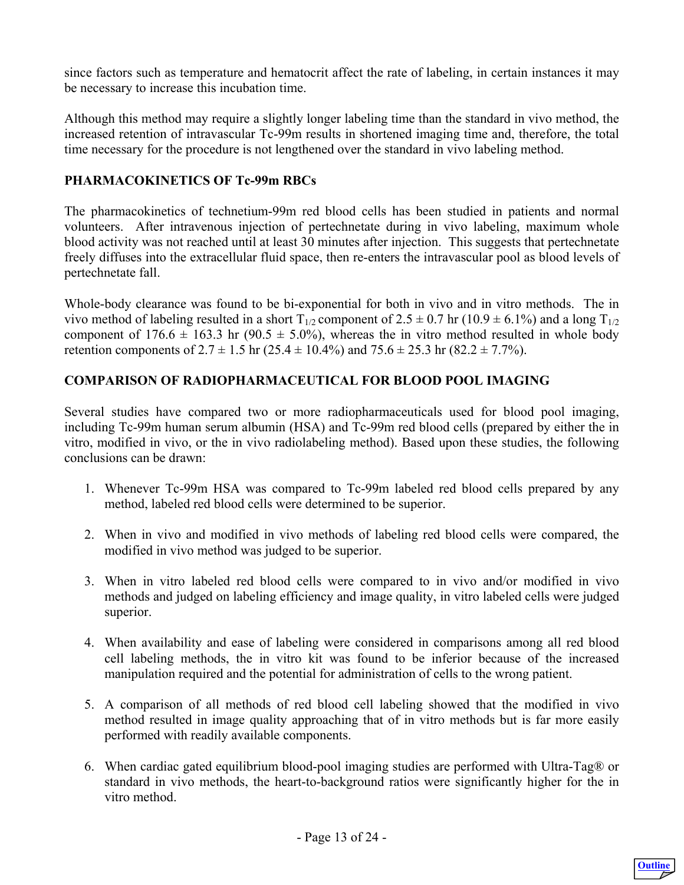<span id="page-12-0"></span>since factors such as temperature and hematocrit affect the rate of labeling, in certain instances it may be necessary to increase this incubation time.

Although this method may require a slightly longer labeling time than the standard in vivo method, the increased retention of intravascular Tc-99m results in shortened imaging time and, therefore, the total time necessary for the procedure is not lengthened over the standard in vivo labeling method.

## **PHARMACOKINETICS OF Tc-99m RBCs**

The pharmacokinetics of technetium-99m red blood cells has been studied in patients and normal volunteers. After intravenous injection of pertechnetate during in vivo labeling, maximum whole blood activity was not reached until at least 30 minutes after injection. This suggests that pertechnetate freely diffuses into the extracellular fluid space, then re-enters the intravascular pool as blood levels of pertechnetate fall.

Whole-body clearance was found to be bi-exponential for both in vivo and in vitro methods. The in vivo method of labeling resulted in a short  $T_{1/2}$  component of  $2.5 \pm 0.7$  hr (10.9  $\pm$  6.1%) and a long  $T_{1/2}$ component of  $176.6 \pm 163.3$  hr (90.5  $\pm$  5.0%), whereas the in vitro method resulted in whole body retention components of  $2.7 \pm 1.5$  hr ( $25.4 \pm 10.4\%$ ) and  $75.6 \pm 25.3$  hr ( $82.2 \pm 7.7\%$ ).

# **COMPARISON OF RADIOPHARMACEUTICAL FOR BLOOD POOL IMAGING**

Several studies have compared two or more radiopharmaceuticals used for blood pool imaging, including Tc-99m human serum albumin (HSA) and Tc-99m red blood cells (prepared by either the in vitro, modified in vivo, or the in vivo radiolabeling method). Based upon these studies, the following conclusions can be drawn:

- 1. Whenever Tc-99m HSA was compared to Tc-99m labeled red blood cells prepared by any method, labeled red blood cells were determined to be superior.
- 2. When in vivo and modified in vivo methods of labeling red blood cells were compared, the modified in vivo method was judged to be superior.
- 3. When in vitro labeled red blood cells were compared to in vivo and/or modified in vivo methods and judged on labeling efficiency and image quality, in vitro labeled cells were judged superior.
- 4. When availability and ease of labeling were considered in comparisons among all red blood cell labeling methods, the in vitro kit was found to be inferior because of the increased manipulation required and the potential for administration of cells to the wrong patient.
- 5. A comparison of all methods of red blood cell labeling showed that the modified in vivo method resulted in image quality approaching that of in vitro methods but is far more easily performed with readily available components.
- 6. When cardiac gated equilibrium blood-pool imaging studies are performed with Ultra-Tag® or standard in vivo methods, the heart-to-background ratios were significantly higher for the in vitro method.

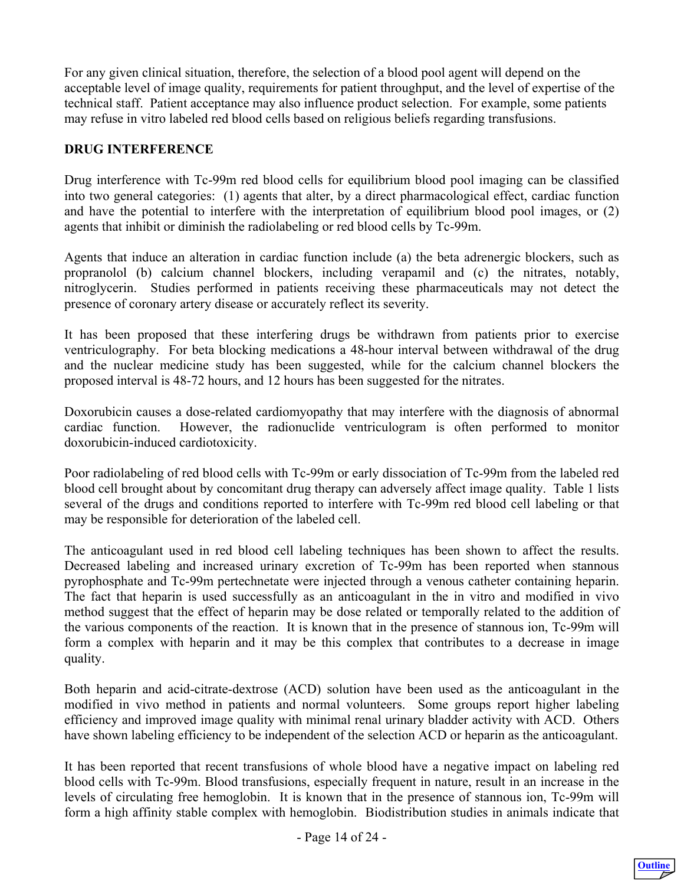<span id="page-13-0"></span>For any given clinical situation, therefore, the selection of a blood pool agent will depend on the acceptable level of image quality, requirements for patient throughput, and the level of expertise of the technical staff. Patient acceptance may also influence product selection. For example, some patients may refuse in vitro labeled red blood cells based on religious beliefs regarding transfusions.

## **DRUG INTERFERENCE**

Drug interference with Tc-99m red blood cells for equilibrium blood pool imaging can be classified into two general categories: (1) agents that alter, by a direct pharmacological effect, cardiac function and have the potential to interfere with the interpretation of equilibrium blood pool images, or (2) agents that inhibit or diminish the radiolabeling or red blood cells by Tc-99m.

Agents that induce an alteration in cardiac function include (a) the beta adrenergic blockers, such as propranolol (b) calcium channel blockers, including verapamil and (c) the nitrates, notably, nitroglycerin. Studies performed in patients receiving these pharmaceuticals may not detect the presence of coronary artery disease or accurately reflect its severity.

It has been proposed that these interfering drugs be withdrawn from patients prior to exercise ventriculography. For beta blocking medications a 48-hour interval between withdrawal of the drug and the nuclear medicine study has been suggested, while for the calcium channel blockers the proposed interval is 48-72 hours, and 12 hours has been suggested for the nitrates.

Doxorubicin causes a dose-related cardiomyopathy that may interfere with the diagnosis of abnormal cardiac function. However, the radionuclide ventriculogram is often performed to monitor doxorubicin-induced cardiotoxicity.

Poor radiolabeling of red blood cells with Tc-99m or early dissociation of Tc-99m from the labeled red blood cell brought about by concomitant drug therapy can adversely affect image quality. Table 1 lists several of the drugs and conditions reported to interfere with Tc-99m red blood cell labeling or that may be responsible for deterioration of the labeled cell.

The anticoagulant used in red blood cell labeling techniques has been shown to affect the results. Decreased labeling and increased urinary excretion of Tc-99m has been reported when stannous pyrophosphate and Tc-99m pertechnetate were injected through a venous catheter containing heparin. The fact that heparin is used successfully as an anticoagulant in the in vitro and modified in vivo method suggest that the effect of heparin may be dose related or temporally related to the addition of the various components of the reaction. It is known that in the presence of stannous ion, Tc-99m will form a complex with heparin and it may be this complex that contributes to a decrease in image quality.

Both heparin and acid-citrate-dextrose (ACD) solution have been used as the anticoagulant in the modified in vivo method in patients and normal volunteers. Some groups report higher labeling efficiency and improved image quality with minimal renal urinary bladder activity with ACD. Others have shown labeling efficiency to be independent of the selection ACD or heparin as the anticoagulant.

It has been reported that recent transfusions of whole blood have a negative impact on labeling red blood cells with Tc-99m. Blood transfusions, especially frequent in nature, result in an increase in the levels of circulating free hemoglobin. It is known that in the presence of stannous ion, Tc-99m will form a high affinity stable complex with hemoglobin. Biodistribution studies in animals indicate that

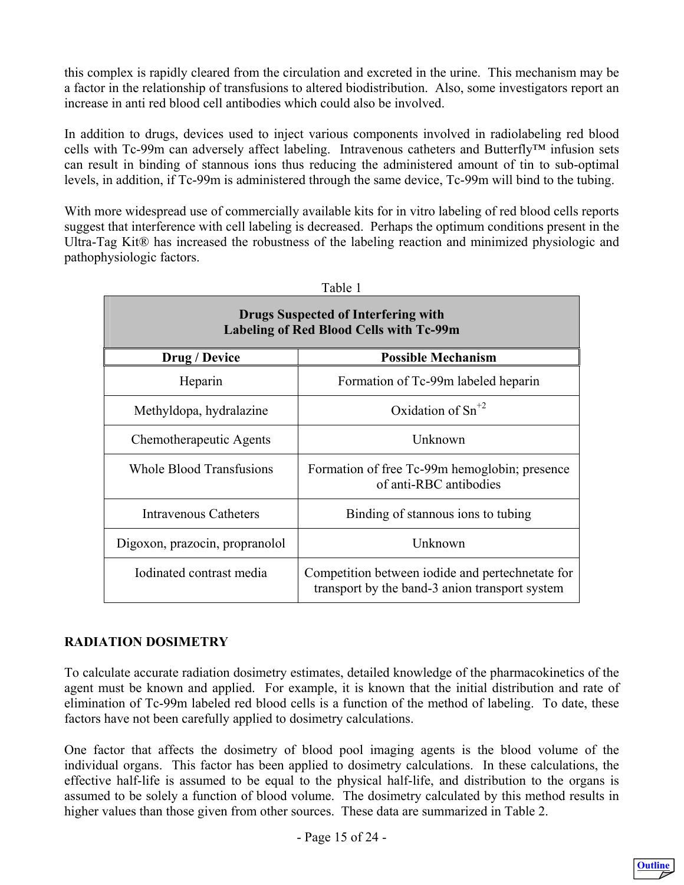<span id="page-14-0"></span>this complex is rapidly cleared from the circulation and excreted in the urine. This mechanism may be a factor in the relationship of transfusions to altered biodistribution. Also, some investigators report an increase in anti red blood cell antibodies which could also be involved.

In addition to drugs, devices used to inject various components involved in radiolabeling red blood cells with Tc-99m can adversely affect labeling. Intravenous catheters and Butterfly™ infusion sets can result in binding of stannous ions thus reducing the administered amount of tin to sub-optimal levels, in addition, if Tc-99m is administered through the same device, Tc-99m will bind to the tubing.

With more widespread use of commercially available kits for in vitro labeling of red blood cells reports suggest that interference with cell labeling is decreased. Perhaps the optimum conditions present in the Ultra-Tag Kit® has increased the robustness of the labeling reaction and minimized physiologic and pathophysiologic factors.

| Table 1                                                                               |                                                                                                    |  |  |  |  |
|---------------------------------------------------------------------------------------|----------------------------------------------------------------------------------------------------|--|--|--|--|
| <b>Drugs Suspected of Interfering with</b><br>Labeling of Red Blood Cells with Tc-99m |                                                                                                    |  |  |  |  |
| Drug / Device                                                                         | <b>Possible Mechanism</b>                                                                          |  |  |  |  |
| Heparin                                                                               | Formation of Tc-99m labeled heparin                                                                |  |  |  |  |
| Methyldopa, hydralazine                                                               | Oxidation of $Sn^{+2}$                                                                             |  |  |  |  |
| Chemotherapeutic Agents                                                               | Unknown                                                                                            |  |  |  |  |
| <b>Whole Blood Transfusions</b>                                                       | Formation of free Tc-99m hemoglobin; presence<br>of anti-RBC antibodies                            |  |  |  |  |
| <b>Intravenous Catheters</b>                                                          | Binding of stannous ions to tubing                                                                 |  |  |  |  |
| Digoxon, prazocin, propranolol                                                        | Unknown                                                                                            |  |  |  |  |
| Iodinated contrast media                                                              | Competition between iodide and pertechnetate for<br>transport by the band-3 anion transport system |  |  |  |  |

# **RADIATION DOSIMETRY**

To calculate accurate radiation dosimetry estimates, detailed knowledge of the pharmacokinetics of the agent must be known and applied. For example, it is known that the initial distribution and rate of elimination of Tc-99m labeled red blood cells is a function of the method of labeling. To date, these factors have not been carefully applied to dosimetry calculations.

One factor that affects the dosimetry of blood pool imaging agents is the blood volume of the individual organs. This factor has been applied to dosimetry calculations. In these calculations, the effective half-life is assumed to be equal to the physical half-life, and distribution to the organs is assumed to be solely a function of blood volume. The dosimetry calculated by this method results in higher values than those given from other sources. These data are summarized in Table 2.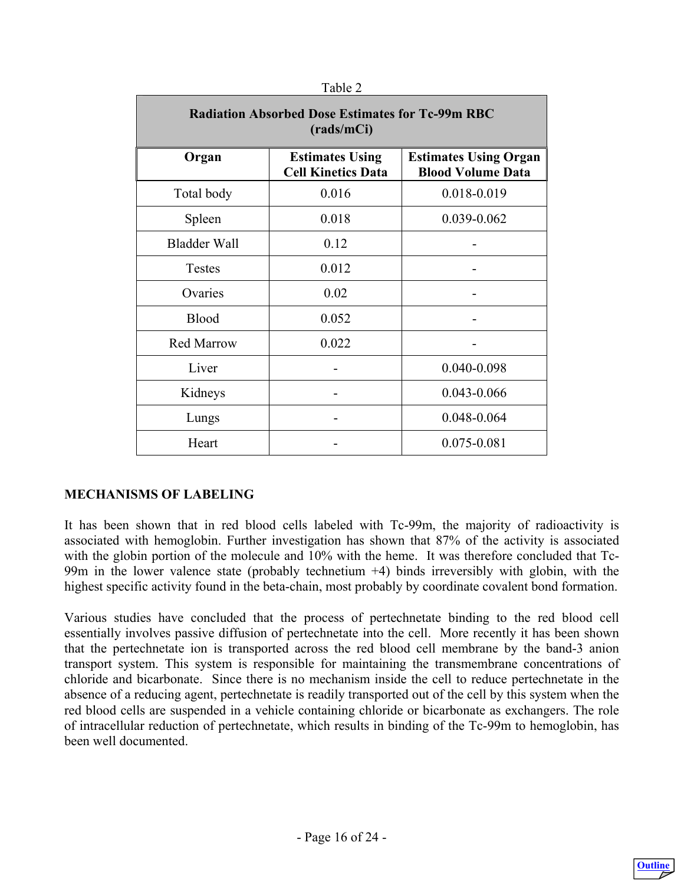<span id="page-15-0"></span>

| <b>Radiation Absorbed Dose Estimates for Tc-99m RBC</b><br>(rads/mCi) |                                                     |                                                          |  |  |
|-----------------------------------------------------------------------|-----------------------------------------------------|----------------------------------------------------------|--|--|
| Organ                                                                 | <b>Estimates Using</b><br><b>Cell Kinetics Data</b> | <b>Estimates Using Organ</b><br><b>Blood Volume Data</b> |  |  |
| Total body                                                            | 0.016                                               | 0.018-0.019                                              |  |  |
| Spleen                                                                | 0.018                                               | 0.039-0.062                                              |  |  |
| <b>Bladder Wall</b>                                                   | 0.12                                                |                                                          |  |  |
| <b>Testes</b>                                                         | 0.012                                               |                                                          |  |  |
| Ovaries                                                               | 0.02                                                |                                                          |  |  |
| Blood                                                                 | 0.052                                               |                                                          |  |  |
| <b>Red Marrow</b>                                                     | 0.022                                               |                                                          |  |  |
| Liver                                                                 |                                                     | 0.040-0.098                                              |  |  |
| Kidneys                                                               |                                                     | 0.043-0.066                                              |  |  |
| Lungs                                                                 |                                                     | 0.048-0.064                                              |  |  |
| Heart                                                                 |                                                     | 0.075-0.081                                              |  |  |

#### **MECHANISMS OF LABELING**

It has been shown that in red blood cells labeled with Tc-99m, the majority of radioactivity is associated with hemoglobin. Further investigation has shown that 87% of the activity is associated with the globin portion of the molecule and 10% with the heme. It was therefore concluded that Tc-99m in the lower valence state (probably technetium +4) binds irreversibly with globin, with the highest specific activity found in the beta-chain, most probably by coordinate covalent bond formation.

Various studies have concluded that the process of pertechnetate binding to the red blood cell essentially involves passive diffusion of pertechnetate into the cell. More recently it has been shown that the pertechnetate ion is transported across the red blood cell membrane by the band-3 anion transport system. This system is responsible for maintaining the transmembrane concentrations of chloride and bicarbonate. Since there is no mechanism inside the cell to reduce pertechnetate in the absence of a reducing agent, pertechnetate is readily transported out of the cell by this system when the red blood cells are suspended in a vehicle containing chloride or bicarbonate as exchangers. The role of intracellular reduction of pertechnetate, which results in binding of the Tc-99m to hemoglobin, has been well documented.

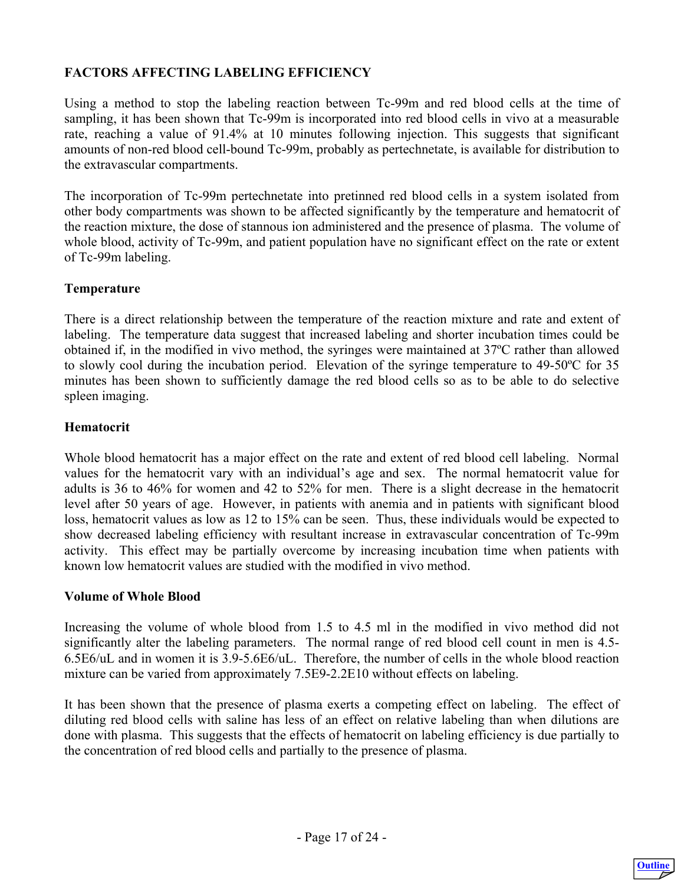# <span id="page-16-0"></span>**FACTORS AFFECTING LABELING EFFICIENCY**

Using a method to stop the labeling reaction between Tc-99m and red blood cells at the time of sampling, it has been shown that Tc-99m is incorporated into red blood cells in vivo at a measurable rate, reaching a value of 91.4% at 10 minutes following injection. This suggests that significant amounts of non-red blood cell-bound Tc-99m, probably as pertechnetate, is available for distribution to the extravascular compartments.

The incorporation of Tc-99m pertechnetate into pretinned red blood cells in a system isolated from other body compartments was shown to be affected significantly by the temperature and hematocrit of the reaction mixture, the dose of stannous ion administered and the presence of plasma. The volume of whole blood, activity of Tc-99m, and patient population have no significant effect on the rate or extent of Tc-99m labeling.

#### **Temperature**

There is a direct relationship between the temperature of the reaction mixture and rate and extent of labeling. The temperature data suggest that increased labeling and shorter incubation times could be obtained if, in the modified in vivo method, the syringes were maintained at 37ºC rather than allowed to slowly cool during the incubation period. Elevation of the syringe temperature to 49-50ºC for 35 minutes has been shown to sufficiently damage the red blood cells so as to be able to do selective spleen imaging.

#### **Hematocrit**

Whole blood hematocrit has a major effect on the rate and extent of red blood cell labeling. Normal values for the hematocrit vary with an individual's age and sex. The normal hematocrit value for adults is 36 to 46% for women and 42 to 52% for men. There is a slight decrease in the hematocrit level after 50 years of age. However, in patients with anemia and in patients with significant blood loss, hematocrit values as low as 12 to 15% can be seen. Thus, these individuals would be expected to show decreased labeling efficiency with resultant increase in extravascular concentration of Tc-99m activity. This effect may be partially overcome by increasing incubation time when patients with known low hematocrit values are studied with the modified in vivo method.

#### **Volume of Whole Blood**

Increasing the volume of whole blood from 1.5 to 4.5 ml in the modified in vivo method did not significantly alter the labeling parameters. The normal range of red blood cell count in men is 4.5- 6.5E6/uL and in women it is 3.9-5.6E6/uL. Therefore, the number of cells in the whole blood reaction mixture can be varied from approximately 7.5E9-2.2E10 without effects on labeling.

It has been shown that the presence of plasma exerts a competing effect on labeling. The effect of diluting red blood cells with saline has less of an effect on relative labeling than when dilutions are done with plasma. This suggests that the effects of hematocrit on labeling efficiency is due partially to the concentration of red blood cells and partially to the presence of plasma.

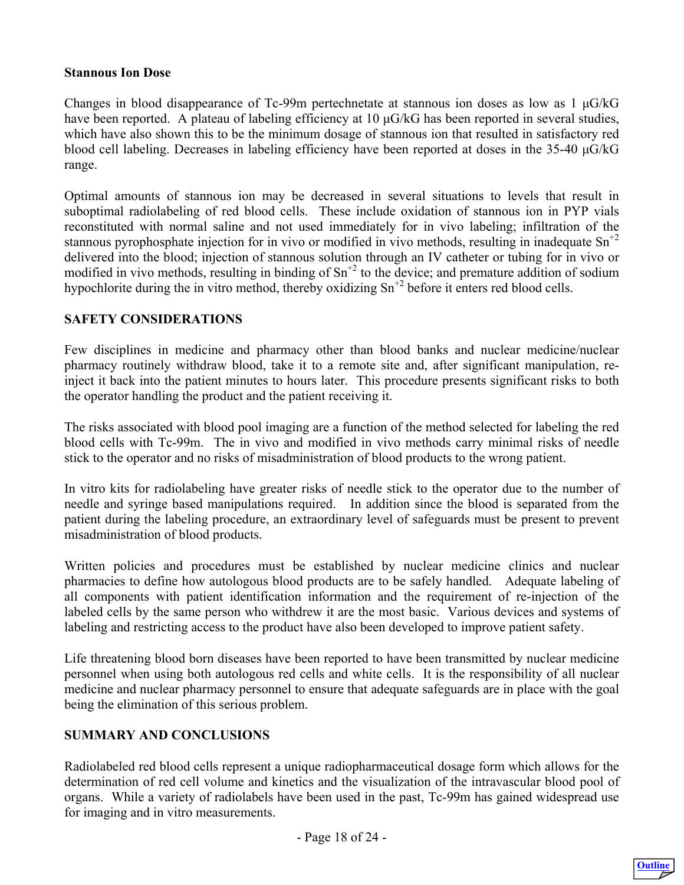#### <span id="page-17-0"></span>**Stannous Ion Dose**

Changes in blood disappearance of Tc-99m pertechnetate at stannous ion doses as low as  $1 \mu$ G/kG have been reported. A plateau of labeling efficiency at 10 μG/kG has been reported in several studies, which have also shown this to be the minimum dosage of stannous ion that resulted in satisfactory red blood cell labeling. Decreases in labeling efficiency have been reported at doses in the 35-40 μG/kG range.

Optimal amounts of stannous ion may be decreased in several situations to levels that result in suboptimal radiolabeling of red blood cells. These include oxidation of stannous ion in PYP vials reconstituted with normal saline and not used immediately for in vivo labeling; infiltration of the stannous pyrophosphate injection for in vivo or modified in vivo methods, resulting in inadequate  $Sn^{2}$ delivered into the blood; injection of stannous solution through an IV catheter or tubing for in vivo or modified in vivo methods, resulting in binding of  $\text{Sn}^{+2}$  to the device; and premature addition of sodium hypochlorite during the in vitro method, thereby oxidizing  $Sn^{2}$  before it enters red blood cells.

#### **SAFETY CONSIDERATIONS**

Few disciplines in medicine and pharmacy other than blood banks and nuclear medicine/nuclear pharmacy routinely withdraw blood, take it to a remote site and, after significant manipulation, reinject it back into the patient minutes to hours later. This procedure presents significant risks to both the operator handling the product and the patient receiving it.

The risks associated with blood pool imaging are a function of the method selected for labeling the red blood cells with Tc-99m. The in vivo and modified in vivo methods carry minimal risks of needle stick to the operator and no risks of misadministration of blood products to the wrong patient.

In vitro kits for radiolabeling have greater risks of needle stick to the operator due to the number of needle and syringe based manipulations required. In addition since the blood is separated from the patient during the labeling procedure, an extraordinary level of safeguards must be present to prevent misadministration of blood products.

Written policies and procedures must be established by nuclear medicine clinics and nuclear pharmacies to define how autologous blood products are to be safely handled. Adequate labeling of all components with patient identification information and the requirement of re-injection of the labeled cells by the same person who withdrew it are the most basic. Various devices and systems of labeling and restricting access to the product have also been developed to improve patient safety.

Life threatening blood born diseases have been reported to have been transmitted by nuclear medicine personnel when using both autologous red cells and white cells. It is the responsibility of all nuclear medicine and nuclear pharmacy personnel to ensure that adequate safeguards are in place with the goal being the elimination of this serious problem.

#### **SUMMARY AND CONCLUSIONS**

Radiolabeled red blood cells represent a unique radiopharmaceutical dosage form which allows for the determination of red cell volume and kinetics and the visualization of the intravascular blood pool of organs. While a variety of radiolabels have been used in the past, Tc-99m has gained widespread use for imaging and in vitro measurements.

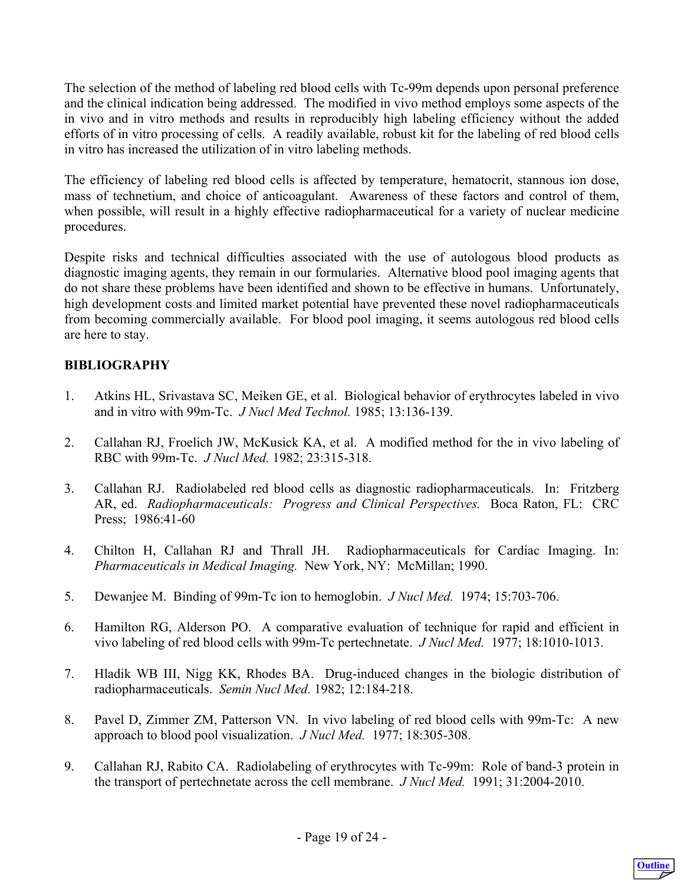<span id="page-18-0"></span>The selection of the method of labeling red blood cells with Tc-99m depends upon personal preference and the clinical indication being addressed. The modified in vivo method employs some aspects of the in vivo and in vitro methods and results in reproducibly high labeling efficiency without the added efforts of in vitro processing of cells. A readily available, robust kit for the labeling of red blood cells in vitro has increased the utilization of in vitro labeling methods.

The efficiency of labeling red blood cells is affected by temperature, hematocrit, stannous ion dose, mass of technetium, and choice of anticoagulant. Awareness of these factors and control of them, when possible, will result in a highly effective radiopharmaceutical for a variety of nuclear medicine procedures.

Despite risks and technical difficulties associated with the use of autologous blood products as diagnostic imaging agents, they remain in our formularies. Alternative blood pool imaging agents that do not share these problems have been identified and shown to be effective in humans. Unfortunately, high development costs and limited market potential have prevented these novel radiopharmaceuticals from becoming commercially available. For blood pool imaging, it seems autologous red blood cells are here to stay.

# **BIBLIOGRAPHY**

- 1. Atkins HL, Srivastava SC, Meiken GE, et al. Biological behavior of erythrocytes labeled in vivo and in vitro with 99m-Tc. *J Nucl Med Technol.* 1985; 13:136-139.
- 2. Callahan RJ, Froelich JW, McKusick KA, et al. A modified method for the in vivo labeling of RBC with 99m-Tc. *J Nucl Med.* 1982; 23:315-318.
- 3. Callahan RJ. Radiolabeled red blood cells as diagnostic radiopharmaceuticals. In: Fritzberg AR, ed. *Radiopharmaceuticals: Progress and Clinical Perspectives.* Boca Raton, FL: CRC Press; 1986:41-60
- 4. Chilton H, Callahan RJ and Thrall JH. Radiopharmaceuticals for Cardiac Imaging. In: *Pharmaceuticals in Medical Imaging.* New York, NY: McMillan; 1990.
- 5. Dewanjee M. Binding of 99m-Tc ion to hemoglobin. *J Nucl Med.* 1974; 15:703-706.
- 6. Hamilton RG, Alderson PO. A comparative evaluation of technique for rapid and efficient in vivo labeling of red blood cells with 99m-Tc pertechnetate. *J Nucl Med.* 1977; 18:1010-1013.
- 7. Hladik WB III, Nigg KK, Rhodes BA. Drug-induced changes in the biologic distribution of radiopharmaceuticals. *Semin Nucl Med.* 1982; 12:184-218.
- 8. Pavel D, Zimmer ZM, Patterson VN. In vivo labeling of red blood cells with 99m-Tc: A new approach to blood pool visualization. *J Nucl Med.* 1977; 18:305-308.
- 9. Callahan RJ, Rabito CA. Radiolabeling of erythrocytes with Tc-99m: Role of band-3 protein in the transport of pertechnetate across the cell membrane. *J Nucl Med.* 1991; 31:2004-2010.

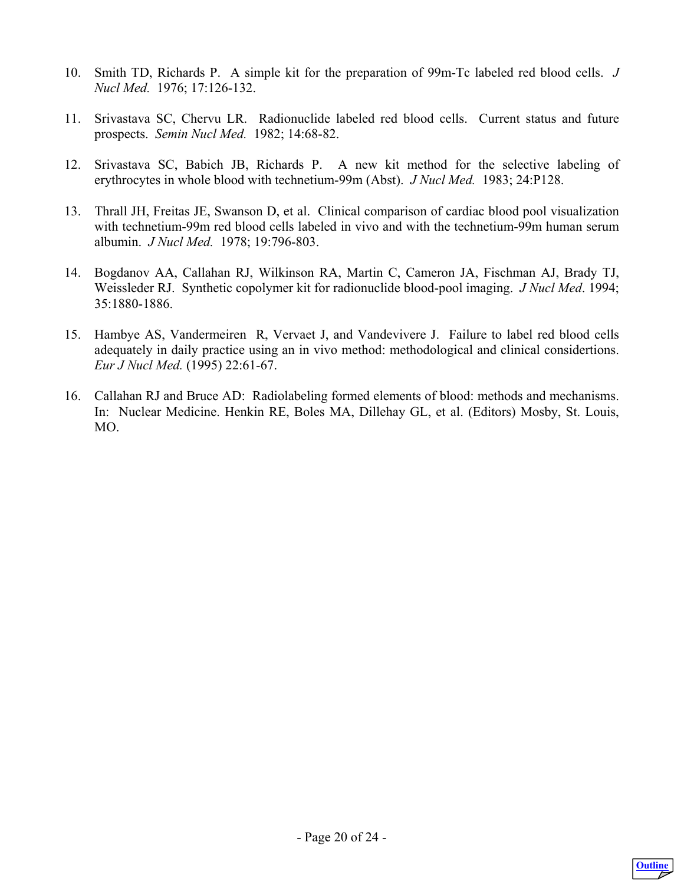- 10. Smith TD, Richards P. A simple kit for the preparation of 99m-Tc labeled red blood cells. *J Nucl Med.* 1976; 17:126-132.
- 11. Srivastava SC, Chervu LR. Radionuclide labeled red blood cells. Current status and future prospects. *Semin Nucl Med.* 1982; 14:68-82.
- 12. Srivastava SC, Babich JB, Richards P. A new kit method for the selective labeling of erythrocytes in whole blood with technetium-99m (Abst). *J Nucl Med.* 1983; 24:P128.
- 13. Thrall JH, Freitas JE, Swanson D, et al. Clinical comparison of cardiac blood pool visualization with technetium-99m red blood cells labeled in vivo and with the technetium-99m human serum albumin. *J Nucl Med.* 1978; 19:796-803.
- 14. Bogdanov AA, Callahan RJ, Wilkinson RA, Martin C, Cameron JA, Fischman AJ, Brady TJ, Weissleder RJ. Synthetic copolymer kit for radionuclide blood-pool imaging. *J Nucl Med*. 1994; 35:1880-1886.
- 15. Hambye AS, Vandermeiren R, Vervaet J, and Vandevivere J. Failure to label red blood cells adequately in daily practice using an in vivo method: methodological and clinical considertions. *Eur J Nucl Med.* (1995) 22:61-67.
- 16. Callahan RJ and Bruce AD: Radiolabeling formed elements of blood: methods and mechanisms. In: Nuclear Medicine. Henkin RE, Boles MA, Dillehay GL, et al. (Editors) Mosby, St. Louis, MO.

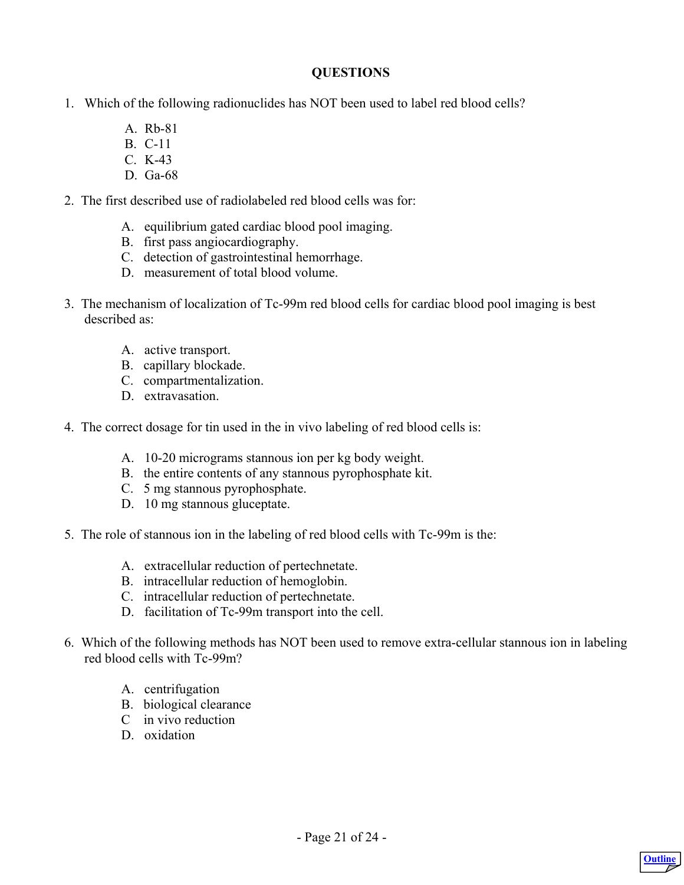#### **QUESTIONS**

- <span id="page-20-0"></span>1. Which of the following radionuclides has NOT been used to label red blood cells?
	- A. Rb-81
	- B. C-11
	- C. K-43
	- D. Ga-68
- 2. The first described use of radiolabeled red blood cells was for:
	- A. equilibrium gated cardiac blood pool imaging.
	- B. first pass angiocardiography.
	- C. detection of gastrointestinal hemorrhage.
	- D. measurement of total blood volume.
- 3. The mechanism of localization of Tc-99m red blood cells for cardiac blood pool imaging is best described as:
	- A. active transport.
	- B. capillary blockade.
	- C. compartmentalization.
	- D. extravasation.
- 4. The correct dosage for tin used in the in vivo labeling of red blood cells is:
	- A. 10-20 micrograms stannous ion per kg body weight.
	- B. the entire contents of any stannous pyrophosphate kit.
	- C. 5 mg stannous pyrophosphate.
	- D. 10 mg stannous gluceptate.
- 5. The role of stannous ion in the labeling of red blood cells with Tc-99m is the:
	- A. extracellular reduction of pertechnetate.
	- B. intracellular reduction of hemoglobin.
	- C. intracellular reduction of pertechnetate.
	- D. facilitation of Tc-99m transport into the cell.
- 6. Which of the following methods has NOT been used to remove extra-cellular stannous ion in labeling red blood cells with Tc-99m?
	- A. centrifugation
	- B. biological clearance
	- C in vivo reduction
	- D. oxidation

**[Outline](#page-4-0)**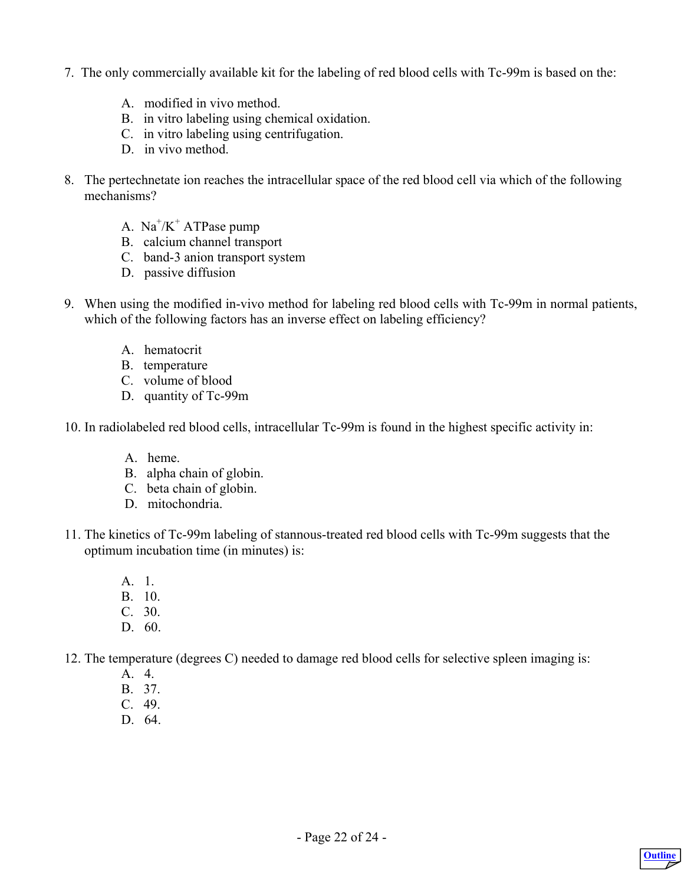- 7. The only commercially available kit for the labeling of red blood cells with Tc-99m is based on the:
	- A. modified in vivo method.
	- B. in vitro labeling using chemical oxidation.
	- C. in vitro labeling using centrifugation.
	- D. in vivo method.
- 8. The pertechnetate ion reaches the intracellular space of the red blood cell via which of the following mechanisms?
	- A.  $Na^+/K^+$  ATPase pump
		- B. calcium channel transport
		- C. band-3 anion transport system
		- D. passive diffusion
- 9. When using the modified in-vivo method for labeling red blood cells with Tc-99m in normal patients, which of the following factors has an inverse effect on labeling efficiency?
	- A. hematocrit
	- B. temperature
	- C. volume of blood
	- D. quantity of Tc-99m

10. In radiolabeled red blood cells, intracellular Tc-99m is found in the highest specific activity in:

- A. heme.
- B. alpha chain of globin.
- C. beta chain of globin.
- D. mitochondria.
- 11. The kinetics of Tc-99m labeling of stannous-treated red blood cells with Tc-99m suggests that the optimum incubation time (in minutes) is:
	- A. 1.
	- B. 10.
	- C. 30.
	- D. 60.
- 12. The temperature (degrees C) needed to damage red blood cells for selective spleen imaging is:
	- A. 4.
	- B. 37.
	- C. 49.
	- D. 64.

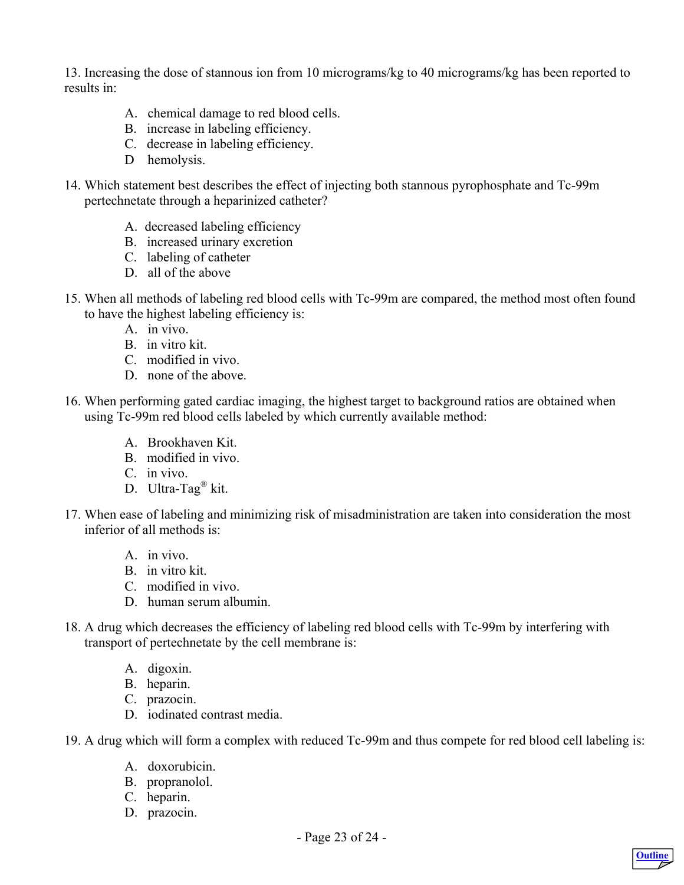13. Increasing the dose of stannous ion from 10 micrograms/kg to 40 micrograms/kg has been reported to results in:

- A. chemical damage to red blood cells.
- B. increase in labeling efficiency.
- C. decrease in labeling efficiency.
- D hemolysis.
- 14. Which statement best describes the effect of injecting both stannous pyrophosphate and Tc-99m pertechnetate through a heparinized catheter?
	- A. decreased labeling efficiency
	- B. increased urinary excretion
	- C. labeling of catheter
	- D. all of the above
- 15. When all methods of labeling red blood cells with Tc-99m are compared, the method most often found to have the highest labeling efficiency is:
	- A. in vivo.
	- B. in vitro kit.
	- C. modified in vivo.
	- D. none of the above.
- 16. When performing gated cardiac imaging, the highest target to background ratios are obtained when using Tc-99m red blood cells labeled by which currently available method:
	- A. Brookhaven Kit.
	- B. modified in vivo.
	- C. in vivo.
	- D. Ultra-Tag® kit.
- 17. When ease of labeling and minimizing risk of misadministration are taken into consideration the most inferior of all methods is:
	- A. in vivo.
	- B. in vitro kit.
	- C. modified in vivo.
	- D. human serum albumin.
- 18. A drug which decreases the efficiency of labeling red blood cells with Tc-99m by interfering with transport of pertechnetate by the cell membrane is:
	- A. digoxin.
	- B. heparin.
	- C. prazocin.
	- D. iodinated contrast media.

19. A drug which will form a complex with reduced Tc-99m and thus compete for red blood cell labeling is:

- A. doxorubicin.
- B. propranolol.
- C. heparin.
- D. prazocin.